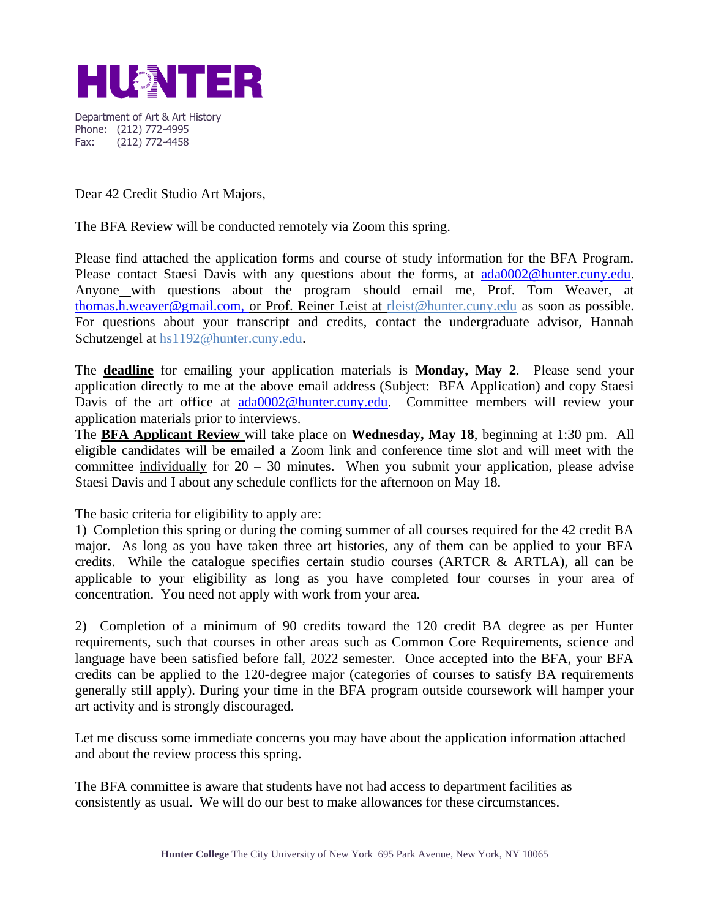

Department of Art & Art History Phone: (212) 772-4995 Fax: (212) 772-4458

Dear 42 Credit Studio Art Majors,

The BFA Review will be conducted remotely via Zoom this spring.

Please find attached the application forms and course of study information for the BFA Program. Please contact Staesi Davis with any questions about the forms, at [ada0002@hunter.cuny.edu.](mailto:ada0002@hunter.cuny.edu) Anyone with questions about the program should email me, Prof. Tom Weaver, at [thomas.h.weaver@gmail.com,](mailto:thomas.h.weaver@gmail.com) or Prof. Reiner Leist at rleist@hunter.cuny.edu as soon as possible. For questions about your transcript and credits, contact the undergraduate advisor, Hannah Schutzengel at hs1192@hunter.cuny.edu.

The **deadline** for emailing your application materials is **Monday, May 2**. Please send your application directly to me at the above email address (Subject: BFA Application) and copy Staesi Davis of the art office at [ada0002@hunter.cuny.edu.](mailto:ada0002@hunter.cuny.edu) Committee members will review your application materials prior to interviews.

The **BFA Applicant Review** will take place on **Wednesday, May 18**, beginning at 1:30 pm. All eligible candidates will be emailed a Zoom link and conference time slot and will meet with the committee individually for  $20 - 30$  minutes. When you submit your application, please advise Staesi Davis and I about any schedule conflicts for the afternoon on May 18.

The basic criteria for eligibility to apply are:

1) Completion this spring or during the coming summer of all courses required for the 42 credit BA major. As long as you have taken three art histories, any of them can be applied to your BFA credits. While the catalogue specifies certain studio courses (ARTCR  $\&$  ARTLA), all can be applicable to your eligibility as long as you have completed four courses in your area of concentration. You need not apply with work from your area.

2) Completion of a minimum of 90 credits toward the 120 credit BA degree as per Hunter requirements, such that courses in other areas such as Common Core Requirements, science and language have been satisfied before fall, 2022 semester. Once accepted into the BFA, your BFA credits can be applied to the 120-degree major (categories of courses to satisfy BA requirements generally still apply). During your time in the BFA program outside coursework will hamper your art activity and is strongly discouraged.

Let me discuss some immediate concerns you may have about the application information attached and about the review process this spring.

The BFA committee is aware that students have not had access to department facilities as consistently as usual. We will do our best to make allowances for these circumstances.